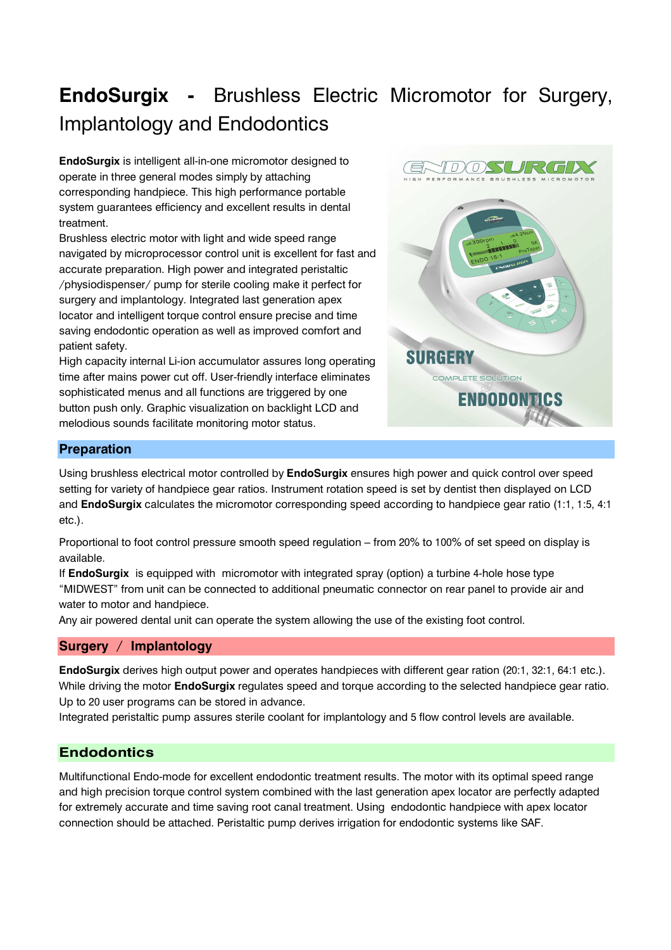# **EndoSurgix -** Brushless Electric Micromotor for Surgery, Implantology and Endodontics

**EndoSurgix** is intelligent all-in-one micromotor designed to operate in three general modes simply by attaching corresponding handpiece. This high performance portable system guarantees efficiency and excellent results in dental treatment.

Brushless electric motor with light and wide speed range navigated by microprocessor control unit is excellent for fast and accurate preparation. High power and integrated peristaltic /physiodispenser/ pump for sterile cooling make it perfect for surgery and implantology. Integrated last generation apex locator and intelligent torque control ensure precise and time saving endodontic operation as well as improved comfort and patient safety.

High capacity internal Li-ion accumulator assures long operating time after mains power cut off. User-friendly interface eliminates sophisticated menus and all functions are triggered by one button push only. Graphic visualization on backlight LCD and melodious sounds facilitate monitoring motor status.



# **Preparation**

Using brushless electrical motor controlled by **EndoSurgix** ensures high power and quick control over speed setting for variety of handpiece gear ratios. Instrument rotation speed is set by dentist then displayed on LCD and **EndoSurgix** calculates the micromotor corresponding speed according to handpiece gear ratio (1:1, 1:5, 4:1 etc.).

Proportional to foot control pressure smooth speed regulation – from 20% to 100% of set speed on display is available.

If **EndoSurgix** is equipped with micromotor with integrated spray (option) a turbine 4-hole hose type "MIDWEST" from unit can be connected to additional pneumatic connector on rear panel to provide air and water to motor and handpiece.

Any air powered dental unit can operate the system allowing the use of the existing foot control.

# **Surgery / Implantology**

**EndoSurgix** derives high output power and operates handpieces with different gear ration (20:1, 32:1, 64:1 etc.). While driving the motor **EndoSurgix** regulates speed and torque according to the selected handpiece gear ratio. Up to 20 user programs can be stored in advance.

Integrated peristaltic pump assures sterile coolant for implantology and 5 flow control levels are available.

# **Endodontics**

Multifunctional Endo-mode for excellent endodontic treatment results. The motor with its optimal speed range and high precision torque control system combined with the last generation apex locator are perfectly adapted for extremely accurate and time saving root canal treatment. Using endodontic handpiece with apex locator connection should be attached. Peristaltic pump derives irrigation for endodontic systems like SAF.